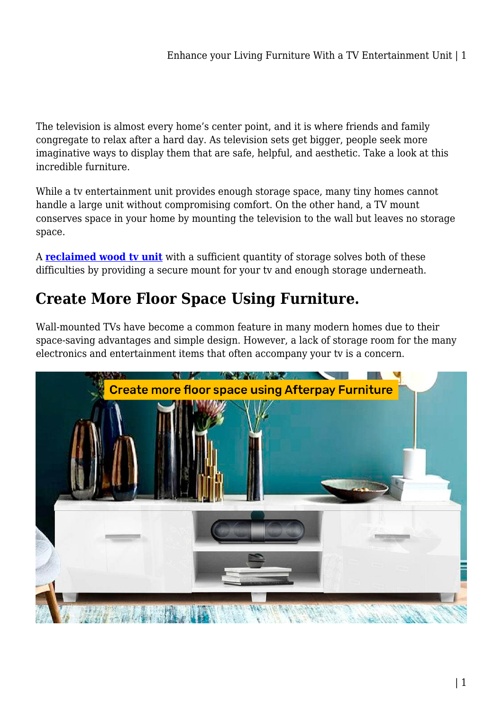The television is almost every home's center point, and it is where friends and family congregate to relax after a hard day. As television sets get bigger, people seek more imaginative ways to display them that are safe, helpful, and aesthetic. Take a look at this incredible furniture.

While a tv entertainment unit provides enough storage space, many tiny homes cannot handle a large unit without compromising comfort. On the other hand, a TV mount conserves space in your home by mounting the television to the wall but leaves no storage space.

A **[reclaimed wood tv unit](https://mattressoffers.com.au/tv-entertainment-unit/wood-tv-unit/tv-cabinet-120x30x40-cm-black-solid-reclaimed-wood/)** with a sufficient quantity of storage solves both of these difficulties by providing a secure mount for your tv and enough storage underneath.

#### **Create More Floor Space Using Furniture.**

Wall-mounted TVs have become a common feature in many modern homes due to their space-saving advantages and simple design. However, a lack of storage room for the many electronics and entertainment items that often accompany your tv is a concern.

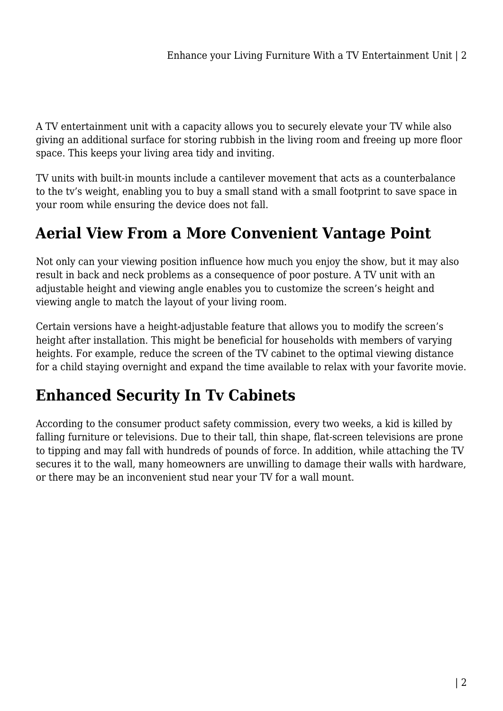A TV entertainment unit with a capacity allows you to securely elevate your TV while also giving an additional surface for storing rubbish in the living room and freeing up more floor space. This keeps your living area tidy and inviting.

TV units with built-in mounts include a cantilever movement that acts as a counterbalance to the tv's weight, enabling you to buy a small stand with a small footprint to save space in your room while ensuring the device does not fall.

## **Aerial View From a More Convenient Vantage Point**

Not only can your viewing position influence how much you enjoy the show, but it may also result in back and neck problems as a consequence of poor posture. A TV unit with an adjustable height and viewing angle enables you to customize the screen's height and viewing angle to match the layout of your living room.

Certain versions have a height-adjustable feature that allows you to modify the screen's height after installation. This might be beneficial for households with members of varying heights. For example, reduce the screen of the TV cabinet to the optimal viewing distance for a child staying overnight and expand the time available to relax with your favorite movie.

## **Enhanced Security In Tv Cabinets**

According to the consumer product safety commission, every two weeks, a kid is killed by falling furniture or televisions. Due to their tall, thin shape, flat-screen televisions are prone to tipping and may fall with hundreds of pounds of force. In addition, while attaching the TV secures it to the wall, many homeowners are unwilling to damage their walls with hardware, or there may be an inconvenient stud near your TV for a wall mount.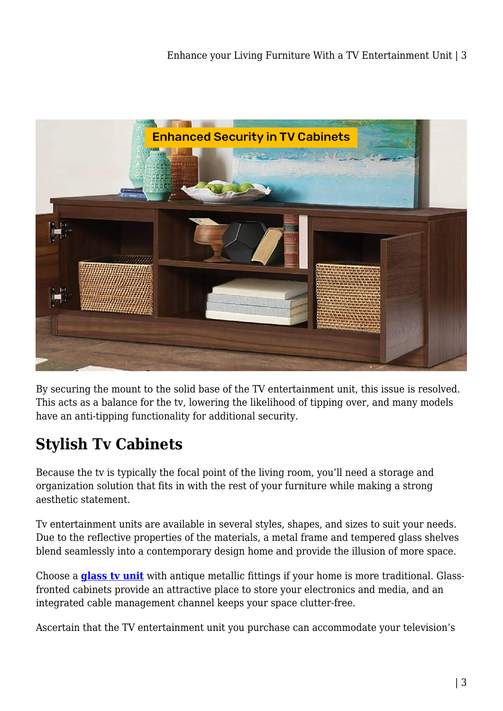

By securing the mount to the solid base of the TV entertainment unit, this issue is resolved. This acts as a balance for the tv, lowering the likelihood of tipping over, and many models have an anti-tipping functionality for additional security.

## **Stylish Tv Cabinets**

Because the tv is typically the focal point of the living room, you'll need a storage and organization solution that fits in with the rest of your furniture while making a strong aesthetic statement.

Tv entertainment units are available in several styles, shapes, and sizes to suit your needs. Due to the reflective properties of the materials, a metal frame and tempered glass shelves blend seamlessly into a contemporary design home and provide the illusion of more space.

Choose a **[glass tv unit](https://mattressoffers.com.au/tv-entertainment-unit/glass-tv-cabinet/)** with antique metallic fittings if your home is more traditional. Glassfronted cabinets provide an attractive place to store your electronics and media, and an integrated cable management channel keeps your space clutter-free.

Ascertain that the TV entertainment unit you purchase can accommodate your television's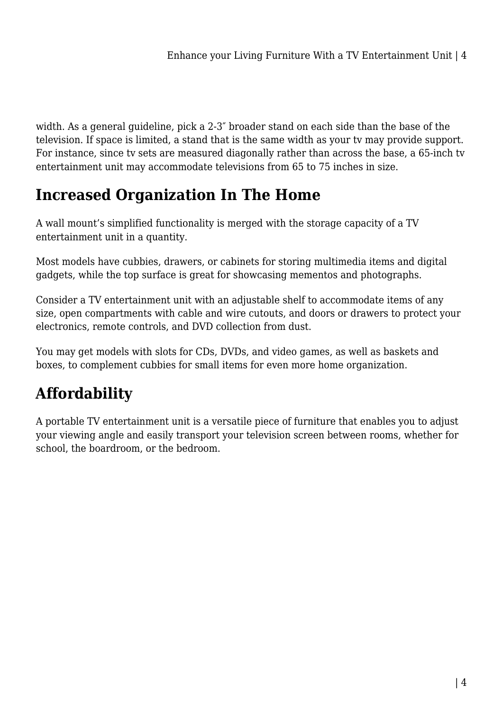width. As a general guideline, pick a 2-3″ broader stand on each side than the base of the television. If space is limited, a stand that is the same width as your tv may provide support. For instance, since tv sets are measured diagonally rather than across the base, a 65-inch tv entertainment unit may accommodate televisions from 65 to 75 inches in size.

## **Increased Organization In The Home**

A wall mount's simplified functionality is merged with the storage capacity of a TV entertainment unit in a quantity.

Most models have cubbies, drawers, or cabinets for storing multimedia items and digital gadgets, while the top surface is great for showcasing mementos and photographs.

Consider a TV entertainment unit with an adjustable shelf to accommodate items of any size, open compartments with cable and wire cutouts, and doors or drawers to protect your electronics, remote controls, and DVD collection from dust.

You may get models with slots for CDs, DVDs, and video games, as well as baskets and boxes, to complement cubbies for small items for even more home organization.

# **Affordability**

A portable TV entertainment unit is a versatile piece of furniture that enables you to adjust your viewing angle and easily transport your television screen between rooms, whether for school, the boardroom, or the bedroom.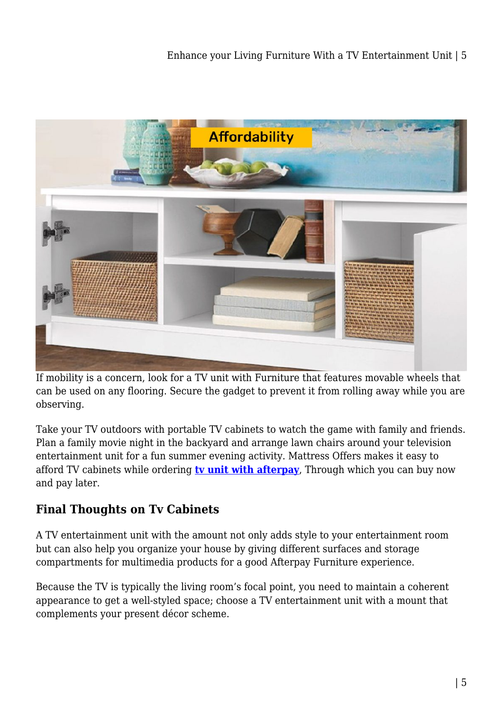

If mobility is a concern, look for a TV unit with Furniture that features movable wheels that can be used on any flooring. Secure the gadget to prevent it from rolling away while you are observing.

Take your TV outdoors with portable TV cabinets to watch the game with family and friends. Plan a family movie night in the backyard and arrange lawn chairs around your television entertainment unit for a fun summer evening activity. Mattress Offers makes it easy to afford TV cabinets while ordering **[tv unit with afterpay](https://mattressoffers.com.au/tv-entertainment-unit/)**, Through which you can buy now and pay later.

#### **Final Thoughts on Tv Cabinets**

A TV entertainment unit with the amount not only adds style to your entertainment room but can also help you organize your house by giving different surfaces and storage compartments for multimedia products for a good Afterpay Furniture experience.

Because the TV is typically the living room's focal point, you need to maintain a coherent appearance to get a well-styled space; choose a TV entertainment unit with a mount that complements your present décor scheme.